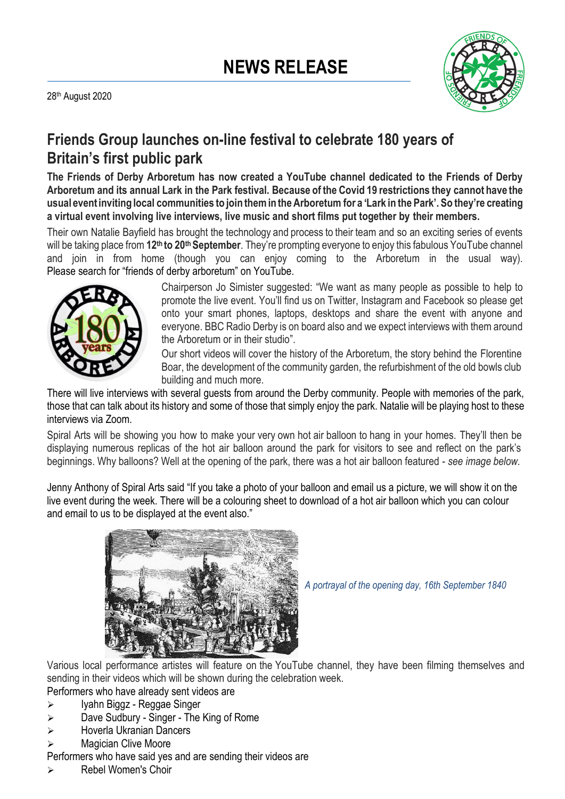

# **Friends Group launches on-line festival to celebrate 180 years of Britain's first public park**

**The Friends of Derby Arboretum has now created a YouTube channel dedicated to the Friends of Derby Arboretum and its annual Lark in the Park festival. Because of the Covid 19 restrictions they cannot have the** usual event inviting local communities to join them in the Arboretum for a 'Lark in the Park'. So they're creating **a virtual event involving live interviews, live music and short films put together by their members.**

Their own Natalie Bayfield has brought the technology and process to their team and so an exciting series of events will be taking place from **12th to 20th September**. They're prompting everyone to enjoy this fabulous YouTube channel and join in from home (though you can enjoy coming to the Arboretum in the usual way). Please search for "friends of derby arboretum" on YouTube.



Chairperson Jo Simister suggested: "We want as many people as possible to help to promote the live event. You'll find us on Twitter, Instagram and Facebook so please get onto your smart phones, laptops, desktops and share the event with anyone and everyone. BBC Radio Derby is on board also and we expect interviews with them around the Arboretum or in their studio".

Our short videos will cover the history of the Arboretum, the story behind the Florentine Boar, the development of the community garden, the refurbishment of the old bowls club building and much more.

There will live interviews with several guests from around the Derby community. People with memories of the park, those that can talk about its history and some of those that simply enjoy the park. Natalie will be playing host to these interviews via Zoom.

Spiral Arts will be showing you how to make your very own hot air balloon to hang in your homes. They'll then be displaying numerous replicas of the hot air balloon around the park for visitors to see and reflect on the park's beginnings. Why balloons? Well at the opening of the park, there was a hot air balloon featured - *see image below.*

Jenny Anthony of Spiral Arts said "If you take a photo of your balloon and email us a picture, we will show it on the live event during the week. There will be a colouring sheet to download of a hot air balloon which you can colour and email to us to be displayed at the event also."



*A portrayal of the opening day, 16th September 1840*

Various local performance artistes will feature on the YouTube channel, they have been filming themselves and sending in their videos which will be shown during the celebration week.

Performers who have already sent videos are

- ➢ Iyahn Biggz Reggae Singer
- ➢ Dave Sudbury Singer The King of Rome
- ➢ Hoverla Ukranian Dancers
- ➢ Magician Clive Moore

Performers who have said yes and are sending their videos are

➢ Rebel Women's Choir